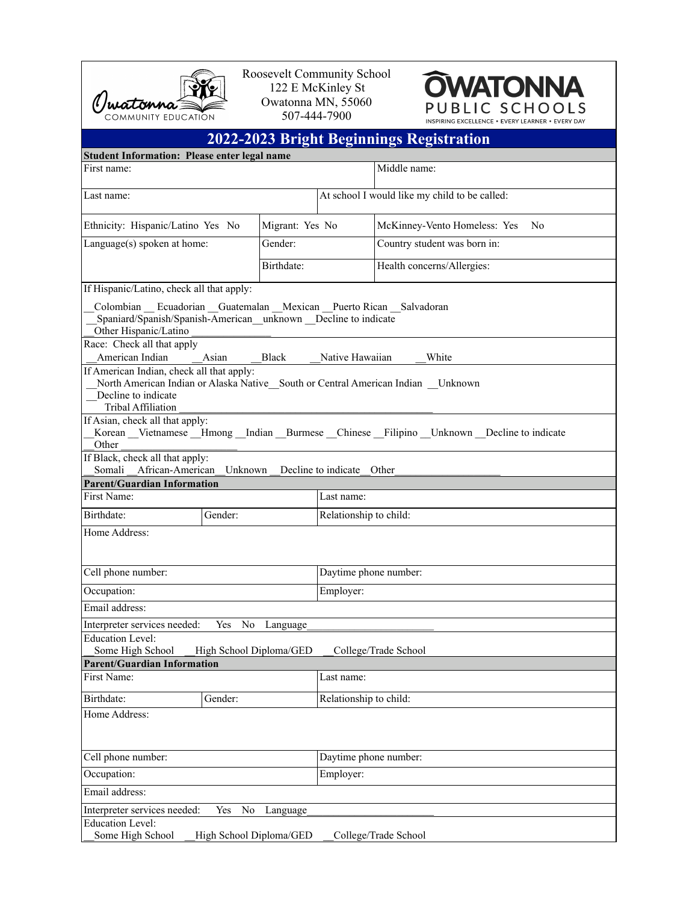

Roosevelt Community School 122 E McKinley St Owatonna MN, 55060 507-444-7900



|                                                                                                                                                                                                                                                                                                                                                                                                                                                                                                                                                                         |                 |                                        | <b>2022-2023 Bright Beginnings Registration</b>                                                       |  |  |
|-------------------------------------------------------------------------------------------------------------------------------------------------------------------------------------------------------------------------------------------------------------------------------------------------------------------------------------------------------------------------------------------------------------------------------------------------------------------------------------------------------------------------------------------------------------------------|-----------------|----------------------------------------|-------------------------------------------------------------------------------------------------------|--|--|
| <b>Student Information: Please enter legal name</b>                                                                                                                                                                                                                                                                                                                                                                                                                                                                                                                     |                 |                                        |                                                                                                       |  |  |
| First name:                                                                                                                                                                                                                                                                                                                                                                                                                                                                                                                                                             |                 |                                        | Middle name:                                                                                          |  |  |
| Last name:                                                                                                                                                                                                                                                                                                                                                                                                                                                                                                                                                              |                 |                                        | At school I would like my child to be called:                                                         |  |  |
| Ethnicity: Hispanic/Latino Yes No                                                                                                                                                                                                                                                                                                                                                                                                                                                                                                                                       | Migrant: Yes No |                                        | McKinney-Vento Homeless: Yes<br>N <sub>0</sub>                                                        |  |  |
| Language(s) spoken at home:                                                                                                                                                                                                                                                                                                                                                                                                                                                                                                                                             | Gender:         |                                        | Country student was born in:                                                                          |  |  |
|                                                                                                                                                                                                                                                                                                                                                                                                                                                                                                                                                                         | Birthdate:      |                                        | Health concerns/Allergies:                                                                            |  |  |
| If Hispanic/Latino, check all that apply:<br>Colombian Ecuadorian Guatemalan Mexican Puerto Rican Salvadoran<br>Spaniard/Spanish/Spanish-American_unknown _Decline to indicate<br>Other Hispanic/Latino<br>Race: Check all that apply<br>American Indian<br>Asian<br>If American Indian, check all that apply:<br>North American Indian or Alaska Native South or Central American Indian Unknown<br>Decline to indicate<br><b>Tribal Affiliation</b><br>If Asian, check all that apply:<br>Other<br>If Black, check all that apply:<br>Somali African-American Unknown | <b>Black</b>    | Native Hawaiian<br>Decline to indicate | White<br>Korean Vietnamese Hmong Indian Burmese Chinese Filipino Unknown Decline to indicate<br>Other |  |  |
| <b>Parent/Guardian Information</b>                                                                                                                                                                                                                                                                                                                                                                                                                                                                                                                                      |                 |                                        |                                                                                                       |  |  |
| First Name:                                                                                                                                                                                                                                                                                                                                                                                                                                                                                                                                                             |                 | Last name:                             |                                                                                                       |  |  |
| Birthdate:<br>Gender:<br>Home Address:                                                                                                                                                                                                                                                                                                                                                                                                                                                                                                                                  |                 | Relationship to child:                 |                                                                                                       |  |  |
| Cell phone number:                                                                                                                                                                                                                                                                                                                                                                                                                                                                                                                                                      |                 | Daytime phone number:                  |                                                                                                       |  |  |
| Occupation:                                                                                                                                                                                                                                                                                                                                                                                                                                                                                                                                                             |                 | Employer:                              |                                                                                                       |  |  |
| Email address:                                                                                                                                                                                                                                                                                                                                                                                                                                                                                                                                                          |                 |                                        |                                                                                                       |  |  |
| No<br>Interpreter services needed:<br>Yes                                                                                                                                                                                                                                                                                                                                                                                                                                                                                                                               | Language        |                                        |                                                                                                       |  |  |
| Education Level:<br>Some High School<br>High School Diploma/GED                                                                                                                                                                                                                                                                                                                                                                                                                                                                                                         |                 |                                        | College/Trade School                                                                                  |  |  |
| <b>Parent/Guardian Information</b>                                                                                                                                                                                                                                                                                                                                                                                                                                                                                                                                      |                 |                                        |                                                                                                       |  |  |
| First Name:                                                                                                                                                                                                                                                                                                                                                                                                                                                                                                                                                             |                 | Last name:                             |                                                                                                       |  |  |
| Birthdate:<br>Gender:                                                                                                                                                                                                                                                                                                                                                                                                                                                                                                                                                   |                 | Relationship to child:                 |                                                                                                       |  |  |
| Home Address:                                                                                                                                                                                                                                                                                                                                                                                                                                                                                                                                                           |                 |                                        |                                                                                                       |  |  |
| Cell phone number:                                                                                                                                                                                                                                                                                                                                                                                                                                                                                                                                                      |                 | Daytime phone number:                  |                                                                                                       |  |  |
| Occupation:                                                                                                                                                                                                                                                                                                                                                                                                                                                                                                                                                             |                 | Employer:                              |                                                                                                       |  |  |
| Email address:                                                                                                                                                                                                                                                                                                                                                                                                                                                                                                                                                          |                 |                                        |                                                                                                       |  |  |
| Interpreter services needed:<br>Yes<br>No<br><b>Education Level:</b>                                                                                                                                                                                                                                                                                                                                                                                                                                                                                                    | Language        |                                        |                                                                                                       |  |  |

| Some High School | High School Diploma/GED | College/Trade School |
|------------------|-------------------------|----------------------|
|                  |                         |                      |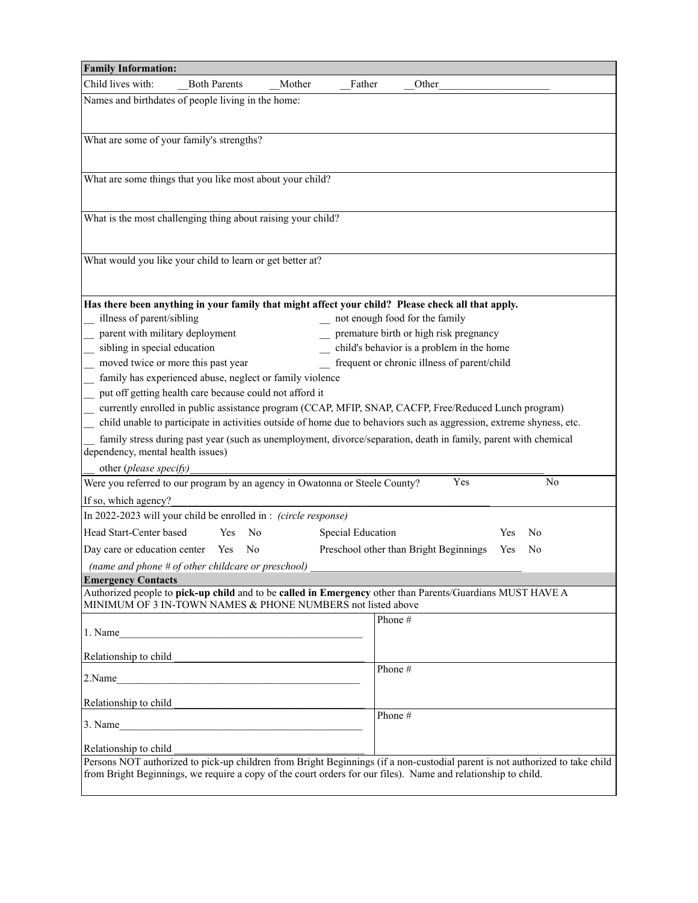| <b>Family Information:</b>                                                                                                                                               |                                                                |        |                                                                            |    |
|--------------------------------------------------------------------------------------------------------------------------------------------------------------------------|----------------------------------------------------------------|--------|----------------------------------------------------------------------------|----|
| Child lives with:<br><b>Both Parents</b>                                                                                                                                 | Mother                                                         | Father | Other                                                                      |    |
| Names and birthdates of people living in the home:                                                                                                                       |                                                                |        |                                                                            |    |
|                                                                                                                                                                          |                                                                |        |                                                                            |    |
| What are some of your family's strengths?                                                                                                                                |                                                                |        |                                                                            |    |
|                                                                                                                                                                          |                                                                |        |                                                                            |    |
|                                                                                                                                                                          |                                                                |        |                                                                            |    |
| What are some things that you like most about your child?                                                                                                                |                                                                |        |                                                                            |    |
|                                                                                                                                                                          |                                                                |        |                                                                            |    |
| What is the most challenging thing about raising your child?                                                                                                             |                                                                |        |                                                                            |    |
|                                                                                                                                                                          |                                                                |        |                                                                            |    |
|                                                                                                                                                                          |                                                                |        |                                                                            |    |
| What would you like your child to learn or get better at?                                                                                                                |                                                                |        |                                                                            |    |
|                                                                                                                                                                          |                                                                |        |                                                                            |    |
|                                                                                                                                                                          |                                                                |        |                                                                            |    |
| Has there been anything in your family that might affect your child? Please check all that apply.                                                                        |                                                                |        |                                                                            |    |
| illness of parent/sibling<br>parent with military deployment                                                                                                             |                                                                |        | _ not enough food for the family<br>premature birth or high risk pregnancy |    |
| sibling in special education                                                                                                                                             |                                                                |        | child's behavior is a problem in the home                                  |    |
| moved twice or more this past year                                                                                                                                       |                                                                |        | frequent or chronic illness of parent/child                                |    |
| family has experienced abuse, neglect or family violence                                                                                                                 |                                                                |        |                                                                            |    |
| put off getting health care because could not afford it                                                                                                                  |                                                                |        |                                                                            |    |
| currently enrolled in public assistance program (CCAP, MFIP, SNAP, CACFP, Free/Reduced Lunch program)                                                                    |                                                                |        |                                                                            |    |
| child unable to participate in activities outside of home due to behaviors such as aggression, extreme shyness, etc.                                                     |                                                                |        |                                                                            |    |
| family stress during past year (such as unemployment, divorce/separation, death in family, parent with chemical                                                          |                                                                |        |                                                                            |    |
| dependency, mental health issues)                                                                                                                                        |                                                                |        |                                                                            |    |
| other (please specify)                                                                                                                                                   |                                                                |        |                                                                            |    |
| Were you referred to our program by an agency in Owatonna or Steele County?                                                                                              |                                                                |        | Yes                                                                        | No |
| If so, which agency?                                                                                                                                                     |                                                                |        |                                                                            |    |
| In 2022-2023 will your child be enrolled in : (circle response)                                                                                                          |                                                                |        |                                                                            |    |
| Head Start-Center based                                                                                                                                                  | N <sub>0</sub><br>Special Education<br><b>Yes</b><br>No<br>Yes |        |                                                                            |    |
| Preschool other than Bright Beginnings<br>Day care or education center Yes<br>N <sub>0</sub><br>Yes<br>No                                                                |                                                                |        |                                                                            |    |
| (name and phone # of other childcare or preschool)                                                                                                                       |                                                                |        |                                                                            |    |
| <b>Emergency Contacts</b>                                                                                                                                                |                                                                |        |                                                                            |    |
| Authorized people to pick-up child and to be called in Emergency other than Parents/Guardians MUST HAVE A<br>MINIMUM OF 3 IN-TOWN NAMES & PHONE NUMBERS not listed above |                                                                |        |                                                                            |    |
|                                                                                                                                                                          |                                                                |        | Phone#                                                                     |    |
|                                                                                                                                                                          |                                                                |        |                                                                            |    |
| Relationship to child                                                                                                                                                    |                                                                |        |                                                                            |    |
|                                                                                                                                                                          |                                                                |        | Phone $#$                                                                  |    |
| 2.Name<br><u> 1980 - Andrea Barbara, martin da batalar (h. 1980).</u>                                                                                                    |                                                                |        |                                                                            |    |
| Relationship to child                                                                                                                                                    |                                                                |        |                                                                            |    |
| 3. Name                                                                                                                                                                  |                                                                |        | Phone $#$                                                                  |    |
|                                                                                                                                                                          |                                                                |        |                                                                            |    |
| Relationship to child<br>Persons NOT authorized to pick-up children from Bright Beginnings (if a non-custodial parent is not authorized to take child                    |                                                                |        |                                                                            |    |
| from Bright Beginnings, we require a copy of the court orders for our files). Name and relationship to child.                                                            |                                                                |        |                                                                            |    |
|                                                                                                                                                                          |                                                                |        |                                                                            |    |
|                                                                                                                                                                          |                                                                |        |                                                                            |    |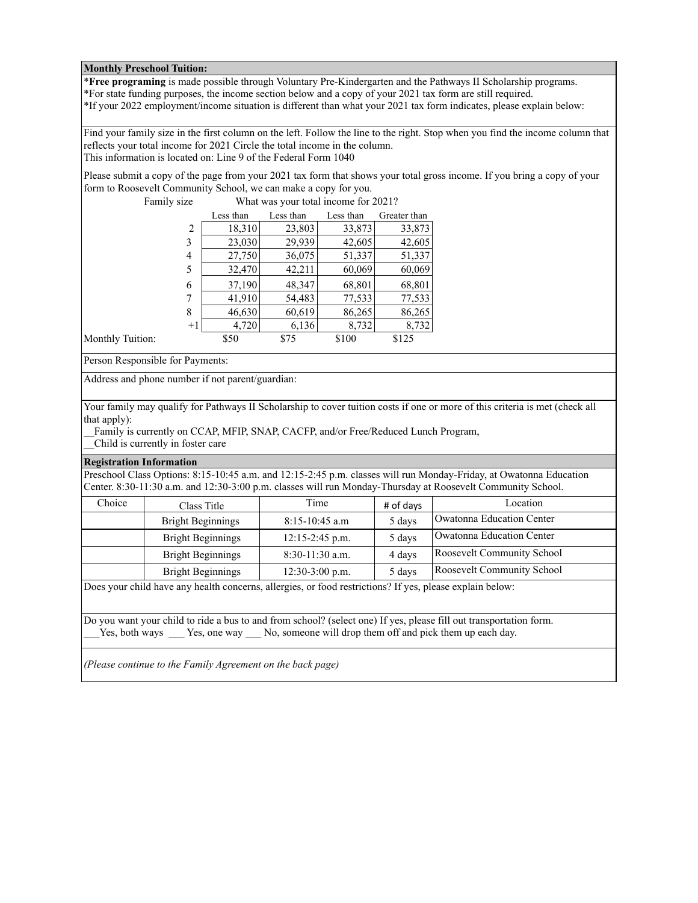## **Monthly Preschool Tuition:**

\***Free programing** is made possible through Voluntary Pre-Kindergarten and the Pathways II Scholarship programs. \*For state funding purposes, the income section below and a copy of your 2021 tax form are still required.

\*If your 2022 employment/income situation is different than what your 2021 tax form indicates, please explain below:

Find your family size in the first column on the left. Follow the line to the right. Stop when you find the income column that reflects your total income for 2021 Circle the total income in the column. This information is located on: Line 9 of the Federal Form 1040

Please submit a copy of the page from your 2021 tax form that shows your total gross income. If you bring a copy of your form to Roosevelt Community School, we can make a copy for you.

| Family size | What was your total income for 2021? |           |           |              |
|-------------|--------------------------------------|-----------|-----------|--------------|
|             | Less than                            | Less than | Less than | Greater than |
| 2           | 18,310                               | 23,803    | 33,873    | 33,873       |
| 3           | 23,030                               | 29,939    | 42,605    | 42,605       |
| 4           | 27,750                               | 36,075    | 51,337    | 51,337       |
| 5           | 32,470                               | 42,211    | 60,069    | 60,069       |
| 6           | 37,190                               | 48,347    | 68,801    | 68,801       |
|             | 41,910                               | 54,483    | 77,533    | 77,533       |
| 8           | 46,630                               | 60,619    | 86,265    | 86,265       |
| $+1$        | 4,720                                | 6,136     | 8,732     | 8,732        |
| on:         | \$50                                 | \$75      | \$100     | \$125        |

Monthly Tuition:

Person Responsible for Payments:

Address and phone number if not parent/guardian:

Your family may qualify for Pathways II Scholarship to cover tuition costs if one or more of this criteria is met (check all that apply):

Family is currently on CCAP, MFIP, SNAP, CACFP, and/or Free/Reduced Lunch Program,

\_\_Child is currently in foster care

## **Registration Information**

Preschool Class Options: 8:15-10:45 a.m. and 12:15-2:45 p.m. classes will run Monday-Friday, at Owatonna Education Center. 8:30-11:30 a.m. and 12:30-3:00 p.m. classes will run Monday-Thursday at Roosevelt Community School.

| Choice | Class Title              | Time              | # of days | Location                   |
|--------|--------------------------|-------------------|-----------|----------------------------|
|        | <b>Bright Beginnings</b> | $8:15-10:45$ a.m  | 5 days    | Owatonna Education Center  |
|        | <b>Bright Beginnings</b> | $12:15-2:45$ p.m. | 5 days    | Owatonna Education Center  |
|        | Bright Beginnings        | $8:30-11:30$ a.m. | 4 days    | Roosevelt Community School |
|        | <b>Bright Beginnings</b> | $12:30-3:00$ p.m. | 5 days    | Roosevelt Community School |

Does your child have any health concerns, allergies, or food restrictions? If yes, please explain below:

Do you want your child to ride a bus to and from school? (select one) If yes, please fill out transportation form. Yes, both ways Yes, one way No, someone will drop them off and pick them up each day.

*(Please continue to the Family Agreement on the back page)*